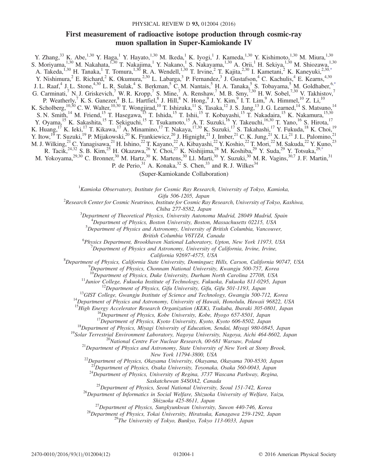#### PHYSICAL REVIEW D 93, 012004 (2016)

# First measurement of radioactive isotope production through cosmic-ray muon spallation in Super-Kamiokande IV

Y. Zhang,  $33$  K. Abe,  $1,30$  Y. Haga, <sup>1</sup> Y. Hayato,  $1,30$  M. Ikeda, <sup>1</sup> K. Iyogi, <sup>1</sup> J. Kameda,  $1,30$  Y. Kishimoto,  $1,30$  M. Miura,  $1,30$ S. Moriyama,<sup>1,30</sup> M. Nakahata,<sup>1,30</sup> T. Nakajima,<sup>1</sup> Y. Nakano,<sup>1</sup> S. Nakayama,<sup>1,30</sup> A. Orii,<sup>1</sup> H. Sekiya,<sup>1,30</sup> M. Shiozawa,<sup>1,30</sup> A. Takeda,<sup>1,30</sup> H. Tanaka,<sup>1</sup> T. Tomura,<sup>1,30</sup> R. A. Wendell,<sup>1,30</sup> T. Irvine,<sup>2</sup> T. Kajita,<sup>2,30</sup> I. Kametani,<sup>2</sup> K. Kaneyuki,<sup>2,3[0,\\*](#page-1-0)</sup> Y. Nishimura,<sup>2</sup> E. Richard,<sup>2</sup> K. Okumura,<sup>2,30</sup> L. Labarga,<sup>3</sup> P. Fernandez,<sup>3</sup> J. Gustafson,<sup>4</sup> C. Kachulis,<sup>4</sup> E. Kearns,<sup>4,30</sup> J. L. Raaf,<sup>4</sup> J. L. Stone,<sup>4,30</sup> L. R. Sulak,<sup>4</sup> S. Berkman,<sup>5</sup> C. M. Nantais,<sup>5</sup> H. A. Tanaka,<sup>5</sup> S. Tobayama,<sup>5</sup> M. Goldhaber,<sup>6[,\\*](#page-1-0)</sup> G. Carminati,<sup>7</sup> N. J. Griskevich,<sup>7</sup> W. R. Kropp,<sup>7</sup> S. Mine,<sup>7</sup> A. Renshaw,<sup>7</sup> M. B. Smy,<sup>7,30</sup> H. W. Sobel,<sup>7,30</sup> V. Takhistov,<sup>7</sup> P. Weatherly,<sup>7</sup> K. S. Ganezer,<sup>8</sup> B. L. Hartfiel,<sup>8</sup> J. Hill,<sup>8</sup> N. Hong,<sup>9</sup> J. Y. Kim,<sup>9</sup> I. T. Lim,<sup>9</sup> A. Himmel,<sup>10</sup> Z. Li,<sup>10</sup> K. Scholberg,<sup>10,30</sup> C. W. Walter,<sup>10,30</sup> T. Wongjirad,<sup>10</sup> T. Ishizuka,<sup>11</sup> S. Tasaka,<sup>12</sup> J. S. Jang,<sup>13</sup> J. G. Learned,<sup>14</sup> S. Matsuno,<sup>14</sup> S. N. Smith,<sup>14</sup> M. Friend,<sup>15</sup> T. Hasegawa, <sup>15</sup> T. Ishida, <sup>15</sup> T. Ishii, <sup>15</sup> T. Kobayashi, <sup>15</sup> T. Nakadaira, <sup>15</sup> K. Nakamura, <sup>15,30</sup> Y. Oyama,<sup>15</sup> K. Sakashita,<sup>15</sup> T. Sekiguchi,<sup>15</sup> T. Tsukamoto,<sup>15</sup> A. T. Suzuki,<sup>16</sup> Y. Takeuchi,<sup>16,30</sup> T. Yano,<sup>16</sup> S. Hirota,<sup>17</sup> K. Huang,<sup>17</sup> K. Ieki,<sup>17</sup> T. Kikawa,<sup>17</sup> A. Minamino,<sup>17</sup> T. Nakaya,<sup>17,30</sup> K. Suzuki,<sup>17</sup> S. Takahashi,<sup>17</sup> Y. Fukuda,<sup>18</sup> K. Choi,<sup>19</sup> Y. Itow,<sup>19</sup> T. Suzuki,<sup>19</sup> P. Mijakowski,<sup>20</sup> K. Frankiewicz,<sup>20</sup> J. Hignight,<sup>21</sup> J. Imber,<sup>21</sup> C. K. Jung,<sup>21</sup> X. Li,<sup>21</sup> J. L. Palomino,<sup>21</sup> M. J. Wilking,<sup>21</sup> C. Yanagisawa,<sup>21</sup> H. Ishino,<sup>22</sup> T. Kayano,<sup>22</sup> A. Kibayashi,<sup>22</sup> Y. Koshio,<sup>22</sup> T. Mori,<sup>22</sup> M. Sakuda,<sup>22</sup> Y. Kuno,<sup>23</sup> R. Tacik,  $2^{4,32}$  S. B. Kim,  $2^{5}$  H. Okazawa,  $2^{6}$  Y. Choi,  $2^{7}$  K. Nishijima,  $2^{8}$  M. Koshiba,  $2^{9}$  Y. Suda,  $2^{9}$  Y. Totsuka,  $2^{9,*}$  $2^{9,*}$  $2^{9,*}$ M. Yokoyama,<sup>29,30</sup> C. Bronner,<sup>30</sup> M. Hartz,<sup>30</sup> K. Martens,<sup>30</sup> Ll. Marti,<sup>30</sup> Y. Suzuki,<sup>30</sup> M. R. Vagins,<sup>30,7</sup> J. F. Martin,<sup>31</sup>

P. de Perio,<sup>31</sup> A. Konaka,<sup>32</sup> S. Chen,<sup>33</sup> and R. J. Wilkes<sup>34</sup>

(Super-Kamiokande Collaboration)

 ${}^{1}$ Kamioka Observatory, Institute for Cosmic Ray Research, University of Tokyo, Kamioka,

<span id="page-0-0"></span>Gifu 506-1205, Japan<br>Research Center for Cosmic Neutrinos, Institute for Cosmic Ray Research, University of Tokyo, Kashiwa, <sup>2</sup>

Chiba 277-8582, Japan<br><sup>3</sup>Department of Theoretical Physics, University Autonom

Department of Theoretical Physics, University Autonoma Madrid, 28049 Madrid, Spain <sup>4</sup>

 $^4$ Department of Physics, Boston University, Boston, Massachusetts 02215, USA

 ${}^{5}$ Department of Physics and Astronomy, University of British Columbia, Vancouver,

British Columbia V6T1Z4, Canada<br><sup>6</sup> Physics Department, Brookhayer National Laboratory, Unt

Physics Department, Brookhaven National Laboratory, Upton, New York 11973, USA  $\frac{7}{2}$ Department of Physics and Astronomy, University of California, Imine, Imine

 $\nu$ Department of Physics and Astronomy, University of California, Irvine, Irvine,

California 92697-4575, USA<br><sup>8</sup>Department of Physics, California State University, Deminesura 1 Department of Physics, California State University, Dominguez Hills, Carson, California 90747, USA<br><sup>9</sup> Department of Physics, Chonnam National University, Kyangiy, 500,757, Korea

<sup>9</sup>Department of Physics, Chonnam National University, Kwangju 500-757, Korea  $^{10}$ Department of Physics, Duke University, Durham North Carolina 27708, USA

<sup>11</sup>Junior College, Fukuoka Institute of Technology, Fukuoka, Fukuoka 811-0295, Japan<br><sup>12</sup>Department of Physics, Gifu University, Gifu, Gifu 501-1193, Japan<br><sup>13</sup>GIST College, Gwangju Institute of Science and Technology, G

<sup>16</sup>Department of Physics, Kobe University, Kobe, Hyogo 657-8501, Japan<br><sup>17</sup>Department of Physics, Kyoto University, Kyoto, Kyoto 606-8502, Japan<br><sup>18</sup>Department of Physics, Miyagi University of Education, Sendai, Miyagi 9

New York 11794-3800, USA<br><sup>22</sup>Department of Physics, Okayama University, Okayama, Okayama 700-8530, Japan<br><sup>23</sup>Department of Physics, Osaka University, Toyonaka, Osaka 560-0043, Japan

 $^{24}$ Department of Physics, University of Regina, 3737 Wascana Parkway, Regina,

Saskatchewan S4SOA2, Canada<br><sup>25</sup>Department of Physics, Seoul National University, Seoul 151-742, Korea<br><sup>26</sup>Department of Informatics in Social Welfare, Shizuoka University of Welfare, Yaizu,

Shizuoka 425-8611, Japan<br><sup>27</sup>Department of Physics, Sungkyunkwan University, Suwon 440-746, Korea<br><sup>28</sup>Department of Physics, Tokai University, Hiratsuka, Kanagawa 259-1292, Japan<br><sup>29</sup>The University of Tokyo, Bunkyo, Tokyo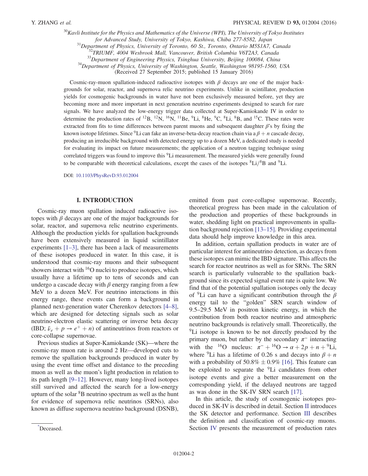$^{30}$ Kavli Institute for the Physics and Mathematics of the Universe (WPI), The University of Tokyo Institutes

for Advanced Study, University of Tokyo, Kashiwa, Chiba 277-8582, Japan<br><sup>31</sup>Department of Physics, University of Toronto, 60 St., Toronto, Ontario M5S1A7, Canada<br><sup>32</sup>TRIUMF, 4004 Wesbrook Mall, Vancouver, British Columbia

(Received 27 September 2015; published 15 January 2016)

Cosmic-ray-muon spallation-induced radioactive isotopes with  $\beta$  decays are one of the major backgrounds for solar, reactor, and supernova relic neutrino experiments. Unlike in scintillator, production yields for cosmogenic backgrounds in water have not been exclusively measured before, yet they are becoming more and more important in next generation neutrino experiments designed to search for rare signals. We have analyzed the low-energy trigger data collected at Super-Kamiokande IV in order to determine the production rates of <sup>12</sup>B, <sup>12</sup>N, <sup>16</sup>N, <sup>11</sup>Be, <sup>9</sup>Li, <sup>8</sup>He, <sup>9</sup>C, <sup>8</sup>Li, <sup>8</sup>B, and <sup>15</sup>C. These rates were extracted from fits to time differences between parent muons and subsequent daughter  $\beta$ 's by fixing the known isotope lifetimes. Since <sup>9</sup>Li can fake an inverse-beta-decay reaction chain via a  $\beta + n$  cascade decay, producing an irreducible background with detected energy up to a dozen MeV, a dedicated study is needed for evaluating its impact on future measurements; the application of a neutron tagging technique using correlated triggers was found to improve this <sup>9</sup>Li measurement. The measured yields were generally found to be comparable with theoretical calculations, except the cases of the isotopes  ${}^{8}Li/{}^{8}B$  and  ${}^{9}Li$ .

DOI: [10.1103/PhysRevD.93.012004](http://dx.doi.org/10.1103/PhysRevD.93.012004)

# I. INTRODUCTION

Cosmic-ray muon spallation induced radioactive isotopes with  $\beta$  decays are one of the major backgrounds for solar, reactor, and supernova relic neutrino experiments. Although the production yields for spallation backgrounds have been extensively measured in liquid scintillator experiments  $[1-3]$  $[1-3]$ , there has been a lack of measurements of these isotopes produced in water. In this case, it is understood that cosmic-ray muons and their subsequent showers interact with  $16$ O nuclei to produce isotopes, which usually have a lifetime up to tens of seconds and can undergo a cascade decay with  $\beta$  energy ranging from a few MeV to a dozen MeV. For neutrino interactions in this energy range, these events can form a background in planned next-generation water Cherenkov detectors [\[4](#page-11-1)–8], which are designed for detecting signals such as solar neutrino-electron elastic scattering or inverse beta decay (IBD;  $\bar{\nu}_e + p \rightarrow e^+ + n$ ) of antineutrinos from reactors or core-collapse supernovae.

Previous studies at Super-Kamiokande (SK)—where the cosmic-ray muon rate is around 2 Hz—developed cuts to remove the spallation backgrounds produced in water by using the event time offset and distance to the preceding muon as well as the muon's light production in relation to its path length [9–[12\].](#page-11-2) However, many long-lived isotopes still survived and affected the search for a low-energy upturn of the solar  ${}^{8}B$  neutrino spectrum as well as the hunt for evidence of supernova relic neutrinos (SRNs), also known as diffuse supernova neutrino background (DSNB), emitted from past core-collapse supernovae. Recently, theoretical progress has been made in the calculation of the production and properties of these backgrounds in water, shedding light on practical improvements in spallation background rejection [\[13](#page-11-3)–15]. Providing experimental data should help improve knowledge in this area.

In addition, certain spallation products in water are of particular interest for antineutrino detection, as decays from these isotopes can mimic the IBD signature. This affects the search for reactor neutrinos as well as for SRNs. The SRN search is particularly vulnerable to the spallation background since its expected signal event rate is quite low. We find that of the potential spallation isotopes only the decay of <sup>9</sup>Li can have a significant contribution through the  $\beta$ energy tail to the "golden" SRN search window of 9.5–29.5 MeV in positron kinetic energy, in which the contribution from both reactor neutrino and atmospheric neutrino backgrounds is relatively small. Theoretically, the <sup>9</sup>Li isotope is known to be not directly produced by the primary muon, but rather by the secondary  $\pi^-$  interacting with the <sup>16</sup>O nucleus:  $\pi^- + {}^{16}O \rightarrow \alpha + 2p + n + {}^{9}Li$ , where <sup>9</sup>Li has a lifetime of 0.26 s and decays into  $\beta + n$ with a probability of  $50.8\% \pm 0.9\%$  [\[16\].](#page-11-4) This feature can be exploited to separate the  ${}^{9}Li$  candidates from other isotope events and give a better measurement on the corresponding yield, if the delayed neutrons are tagged as was done in the SK-IV SRN search [\[17\].](#page-11-5)

In this article, the study of cosmogenic isotopes produced in SK-IV is described in detail. Section [II](#page-2-0) introduces the SK detector and performance. Section [III](#page-2-1) describes the definition and classification of cosmic-ray muons. Section [IV](#page-3-0) presents the measurement of production rates

<span id="page-1-0"></span>Deceased.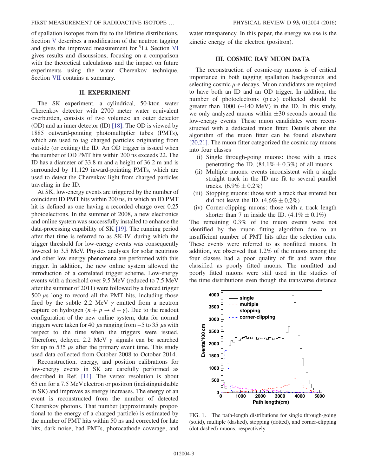# FIRST MEASUREMENT OF RADIOACTIVE ISOTOPE ... PHYSICAL REVIEW D 93, 012004 (2016)

of spallation isotopes from fits to the lifetime distributions. Section [V](#page-6-0) describes a modification of the neutron tagging and gives the improved measurement for <sup>9</sup>Li. Section [VI](#page-9-0) gives results and discussions, focusing on a comparison with the theoretical calculations and the impact on future experiments using the water Cherenkov technique. Section [VII](#page-10-0) contains a summary.

# II. EXPERIMENT

<span id="page-2-0"></span>The SK experiment, a cylindrical, 50-kton water Cherenkov detector with 2700 meter water equivalent overburden, consists of two volumes: an outer detector (OD) and an inner detector (ID) [\[18\]](#page-11-6). The OD is viewed by 1885 outward-pointing photomultiplier tubes (PMTs), which are used to tag charged particles originating from outside (or exiting) the ID. An OD trigger is issued when the number of OD PMT hits within 200 ns exceeds 22. The ID has a diameter of 33.8 m and a height of 36.2 m and is surrounded by 11,129 inward-pointing PMTs, which are used to detect the Cherenkov light from charged particles traveling in the ID.

At SK, low-energy events are triggered by the number of coincident ID PMT hits within 200 ns, in which an ID PMT hit is defined as one having a recorded charge over 0.25 photoelectrons. In the summer of 2008, a new electronics and online system was successfully installed to enhance the data-processing capability of SK [\[19\].](#page-11-7) The running period after that time is referred to as SK-IV, during which the trigger threshold for low-energy events was consequently lowered to 3.5 MeV. Physics analyses for solar neutrinos and other low energy phenomena are performed with this trigger. In addition, the new online system allowed the introduction of a correlated trigger scheme. Low-energy events with a threshold over 9.5 MeV (reduced to 7.5 MeV after the summer of 2011) were followed by a forced trigger  $500 \mu s$  long to record all the PMT hits, including those fired by the subtle 2.2 MeV  $\gamma$  emitted from a neutron capture on hydrogen  $(n + p \rightarrow d + \gamma)$ . Due to the readout configuration of the new online system, data for normal triggers were taken for 40  $\mu$ s ranging from  $-5$  to 35  $\mu$ s with respect to the time when the triggers were issued. Therefore, delayed 2.2 MeV  $\gamma$  signals can be searched for up to 535  $\mu$ s after the primary event time. This study used data collected from October 2008 to October 2014.

Reconstruction, energy, and position calibrations for low-energy events in SK are carefully performed as described in Ref. [\[11\]](#page-11-8). The vertex resolution is about 65 cm for a 7.5 MeV electron or positron (indistinguishable in SK) and improves as energy increases. The energy of an event is reconstructed from the number of detected Cherenkov photons. That number (approximately proportional to the energy of a charged particle) is estimated by the number of PMT hits within 50 ns and corrected for late hits, dark noise, bad PMTs, photocathode coverage, and

<span id="page-2-1"></span>water transparency. In this paper, the energy we use is the kinetic energy of the electron (positron).

# III. COSMIC RAY MUON DATA

The reconstruction of cosmic-ray muons is of critical importance in both tagging spallation backgrounds and selecting cosmic  $\mu$ -e decays. Muon candidates are required to have both an ID and an OD trigger. In addition, the number of photoelectrons (p.e.s) collected should be greater than 1000 (∼140 MeV) in the ID. In this study, we only analyzed muons within  $\pm 30$  seconds around the low-energy events. These muon candidates were reconstructed with a dedicated muon fitter. Details about the algorithm of the muon fitter can be found elsewhere [\[20,21\]](#page-11-9). The muon fitter categorized the cosmic ray muons into four classes

- (i) Single through-going muons: those with a track penetrating the ID.  $(84.1\% \pm 0.3\%)$  of all muons
- (ii) Multiple muons: events inconsistent with a single straight track in the ID are fit to several parallel tracks.  $(6.9\% \pm 0.2\%)$
- (iii) Stopping muons: those with a track that entered but did not leave the ID.  $(4.6\% \pm 0.2\%)$
- (iv) Corner-clipping muons: those with a track length shorter than 7 m inside the ID.  $(4.1\% \pm 0.1\%)$

The remaining 0.3% of the muon events were not identified by the muon fitting algorithm due to an insufficient number of PMT hits after the selection cuts. These events were referred to as nonfitted muons. In addition, we observed that 1.2% of the muons among the four classes had a poor quality of fit and were thus classified as poorly fitted muons. The nonfitted and poorly fitted muons were still used in the studies of the time distributions even though the transverse distance

<span id="page-2-2"></span>

FIG. 1. The path-length distributions for single through-going (solid), multiple (dashed), stopping (dotted), and corner-clipping (dot-dashed) muons, respectively.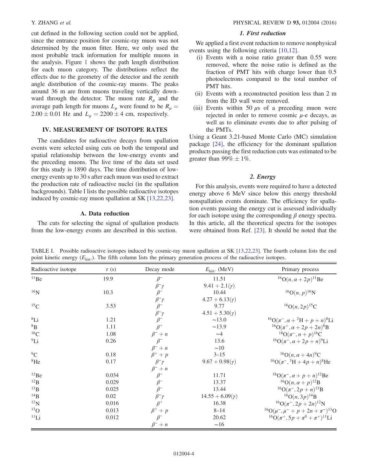cut defined in the following section could not be applied, since the entrance position for cosmic-ray muon was not determined by the muon fitter. Here, we only used the most probable track information for multiple muons in the analysis. Figure [1](#page-2-2) shows the path length distribution for each muon category. The distributions reflect the effects due to the geometry of the detector and the zenith angle distribution of the cosmic-ray muons. The peaks around 36 m are from muons traveling vertically downward through the detector. The muon rate  $R_u$  and the average path length for muons  $L_{\mu}$  were found to be  $R_{\mu}$  =  $2.00 \pm 0.01$  Hz and  $L_{\mu} = 2200 \pm 4$  cm, respectively.

# <span id="page-3-0"></span>IV. MEASUREMENT OF ISOTOPE RATES

The candidates for radioactive decays from spallation events were selected using cuts on both the temporal and spatial relationship between the low-energy events and the preceding muons. The live time of the data set used for this study is 1890 days. The time distribution of lowenergy events up to 30 s after each muon was used to extract the production rate of radioactive nuclei (in the spallation backgrounds). Table [I](#page-3-1) lists the possible radioactive isotopes induced by cosmic-ray muon spallation at SK [\[13,22,23\].](#page-11-3)

#### A. Data reduction

<span id="page-3-2"></span>The cuts for selecting the signal of spallation products from the low-energy events are described in this section.

#### 1. First reduction

We applied a first event reduction to remove nonphysical events using the following criteria [\[10,12\]](#page-11-10).

- (i) Events with a noise ratio greater than 0.55 were removed, where the noise ratio is defined as the fraction of PMT hits with charge lower than 0.5 photoelectrons compared to the total number of PMT hits.
- (ii) Events with a reconstructed position less than 2 m from the ID wall were removed.
- (iii) Events within 50  $\mu$ s of a preceding muon were rejected in order to remove cosmic  $\mu$ -e decays, as well as to eliminate events due to after pulsing of the PMTs.

Using a Geant 3.21-based Monte Carlo (MC) simulation package [\[24\]](#page-11-11), the efficiency for the dominant spallation products passing the first reduction cuts was estimated to be greater than  $99\% \pm 1\%$ .

#### 2. Energy

For this analysis, events were required to have a detected energy above 6 MeV since below this energy threshold nonspallation events dominate. The efficiency for spallation events passing the energy cut is assessed individually for each isotope using the corresponding  $\beta$  energy spectra. In this article, all the theoretical spectra for the isotopes were obtained from Ref. [\[23\]](#page-11-12). It should be noted that the

| Radioactive isotope | $\tau$ (s) | Decay mode      | $E_{\text{kin}}$ . (MeV) | Primary process                                           |
|---------------------|------------|-----------------|--------------------------|-----------------------------------------------------------|
| ${}^{11}Be$         | 19.9       | $\beta^-$       | 11.51                    | ${}^{16}O(n, \alpha + 2p)$ <sup>11</sup> Be               |
|                     |            | $\beta^-\gamma$ | $9.41 + 2.1(\gamma)$     |                                                           |
| 16 <sub>N</sub>     | 10.3       | $\beta^-$       | 10.44                    | ${}^{16}O(n,p){}^{16}N$                                   |
|                     |            | $\beta^-\gamma$ | $4.27 + 6.13(\gamma)$    |                                                           |
| ${}^{15}C$          | 3.53       | $\beta^-$       | 9.77                     | ${}^{16}O(n,2p){}^{15}C$                                  |
|                     |            | $\beta^-\gamma$ | $4.51 + 5.30(\gamma)$    |                                                           |
| ${}^{8}Li$          | 1.21       | $\beta^-$       | $\sim$ 13.0              | ${}^{16}O(\pi^-, \alpha + {}^{2}H + p + n){}^{8}Li$       |
| ${}^{8}B$           | 1.11       | $\beta^+$       | $\sim$ 13.9              | ${}^{16}O(\pi^+, \alpha + 2p + 2n)^8B$                    |
| ${}^{16}C$          | 1.08       | $\beta^-$ + n   | $\sim$ 4                 | ${}^{18}O(\pi^-, n+p){}^{16}C$                            |
| $^{9}Li$            | 0.26       | $\beta^-$       | 13.6                     | ${}^{16}O(\pi^-, \alpha + 2p + n){}^{9}Li$                |
|                     |            | $\beta^-$ + n   | $\sim10$                 |                                                           |
| ${}^{9}C$           | 0.18       | $\beta^+ + p$   | $3 - 15$                 | ${}^{16}O(n, \alpha + 4n){}^{9}C$                         |
| <sup>8</sup> He     | 0.17       | $\beta^-\gamma$ | $9.67 + 0.98(\gamma)$    | ${}^{16}O(\pi^-, {}^{3}H + 4p + n){}^{8}He$               |
|                     |            | $\beta^-$ + n   |                          |                                                           |
| $^{12}Be$           | 0.034      | $\beta^-$       | 11.71                    | $^{18}O(\pi^{-}, \alpha + p + n)^{12}Be$                  |
| $^{12}B$            | 0.029      | $\beta^-$       | 13.37                    | $^{16}O(n, \alpha + p)^{12}B$                             |
| $^{13}$ B           | 0.025      | $\beta^-$       | 13.44                    | ${}^{16}O(\pi^-, 2p+n){}^{13}B$                           |
| $^{14}B$            | 0.02       | $\beta^-\gamma$ | $14.55 + 6.09(\gamma)$   | $^{16}O(n,3p)^{14}B$                                      |
| $^{12}N$            | 0.016      | $\beta^+$       | 16.38                    | ${}^{16}O(\pi^+, 2p + 2n){}^{12}N$                        |
| $^{13}$ O           | 0.013      | $\beta^+ + p$   | $8 - 14$                 | ${}^{16}O(\mu^{-}, \mu^{-}+p+2n+\pi^{-})$ <sup>13</sup> O |
| $^{11}Li$           | 0.012      | $\beta^-$       | 20.62                    | ${}^{16}O(\pi^+, 5p + \pi^0 + \pi^+)$ <sup>11</sup> Li    |
|                     |            | $\beta^- + n$   | $\sim$ 16                |                                                           |

<span id="page-3-1"></span>TABLE I. Possible radioactive isotopes induced by cosmic-ray muon spallation at SK [\[13,22,23\].](#page-11-3) The fourth column lists the end point kinetic energy  $(E_{kin})$ . The fifth column lists the primary generation process of the radioactive isotopes.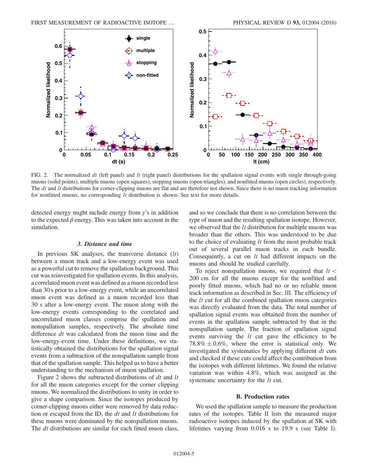<span id="page-4-0"></span>

FIG. 2. The normalized  $dt$  (left panel) and  $lt$  (right panel) distributions for the spallation signal events with single through-going muons (solid points), multiple muons (open squares), stopping muons (open triangles), and nonfitted muons (open circles), respectively. The  $dt$  and  $lt$  distributions for corner-clipping muons are flat and are therefore not shown. Since there is no muon tracking information for nonfitted muons, no corresponding *lt* distribution is shown. See text for more details.

detected energy might include energy from  $\gamma$ 's in addition to the expected  $\beta$  energy. This was taken into account in the simulation.

#### 3. Distance and time

In previous SK analyses, the transverse distance  $(lt)$ between a muon track and a low-energy event was used as a powerful cut to remove the spallation background. This cut was reinvestigated for spallation events. In this analysis, a correlated muon event was defined as a muon recorded less than 30 s prior to a low-energy event, while an uncorrelated muon event was defined as a muon recorded less than 30 s after a low-energy event. The muon along with the low-energy events corresponding to the correlated and uncorrelated muon classes comprise the spallation and nonspallation samples, respectively. The absolute time difference  $dt$  was calculated from the muon time and the low-energy-event time. Under these definitions, we statistically obtained the distributions for the spallation signal events from a subtraction of the nonspallation sample from that of the spallation sample. This helped us to have a better understanding to the mechanism of muon spallation.

Figure [2](#page-4-0) shows the subtracted distributions of  $dt$  and  $lt$ for all the muon categories except for the corner clipping muons. We normalized the distributions to unity in order to give a shape comparison. Since the isotopes produced by corner-clipping muons either were removed by data reduction or escaped from the ID, the  $dt$  and  $lt$  distributions for these muons were dominated by the nonspallation muons. The *dt* distributions are similar for each fitted muon class, and so we conclude that there is no correlation between the type of muon and the resulting spallation isotope. However, we observed that the *lt* distribution for multiple muons was broader than the others. This was understood to be due to the choice of evaluating lt from the most probable track out of several parallel muon tracks in each bundle. Consequently, a cut on  $lt$  had different impacts on the muons and should be studied carefully.

To reject nonspallation muons, we required that  $lt <$ 200 cm for all the muons except for the nonfitted and poorly fitted muons, which had no or no reliable muon track information as described in Sec. [III](#page-2-1). The efficiency of the  $lt$  cut for all the combined spallation muon categories was directly evaluated from the data. The total number of spallation signal events was obtained from the number of events in the spallation sample subtracted by that in the nonspallation sample. The fraction of spallation signal events surviving the  $lt$  cut gave the efficiency to be  $78.8\% \pm 0.6\%$ , where the error is statistical only. We investigated the systematics by applying different dt cuts and checked if these cuts could affect the contribution from the isotopes with different lifetimes. We found the relative variation was within 4.8%, which was assigned as the systematic uncertainty for the *lt* cut.

# B. Production rates

<span id="page-4-1"></span>We used the spallation sample to measure the production rates of the isotopes. Table [II](#page-5-0) lists the measured major radioactive isotopes induced by the spallation at SK with lifetimes varying from 0.016 s to 19.9 s (see Table [I](#page-3-1)).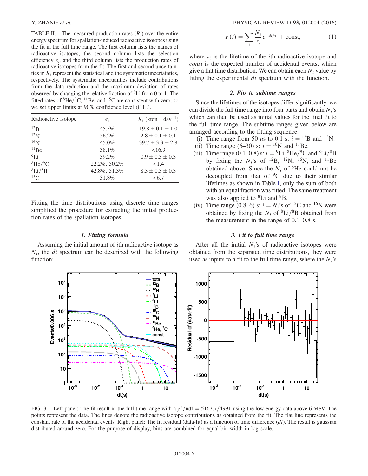<span id="page-5-0"></span>TABLE II. The measured production rates  $(R<sub>i</sub>)$  over the entire energy spectrum for spallation-induced radioactive isotopes using the fit in the full time range. The first column lists the names of radioactive isotopes, the second column lists the selection efficiency  $\epsilon_i$ , and the third column lists the production rates of radioactive isotopes from the fit. The first and second uncertainties in  $R_i$  represent the statistical and the systematic uncertainties, respectively. The systematic uncertainties include contributions from the data reduction and the maximum deviation of rates observed by changing the relative fraction of  ${}^{8}Li$  from 0 to 1. The fitted rates of  ${}^{8}$ He $/{}^{9}$ C,  ${}^{11}$ Be, and  ${}^{15}$ C are consistent with zero, so we set upper limits at 90% confidence level (C.L.).

| Radioactive isotope         | $\epsilon_i$ | $R_i$ (kton <sup>-1</sup> day <sup>-1</sup> ) |
|-----------------------------|--------------|-----------------------------------------------|
| $^{12}R$                    | 45.5%        | $19.8 \pm 0.1 \pm 1.0$                        |
| 12 <sub>N</sub>             | 56.2%        | $2.8 \pm 0.1 \pm 0.1$                         |
| 16 <sub>N</sub>             | $45.0\%$     | $39.7 \pm 3.3 \pm 2.8$                        |
| $^{11}Be$                   | 38.1%        | <16.9                                         |
| 91i                         | 39.2%        | $0.9 \pm 0.3 \pm 0.3$                         |
| ${}^{8}$ He/ <sup>9</sup> C | 22.2%, 50.2% | ${<}1.4$                                      |
| ${}^{8}Li/{}^{8}B$          | 42.8%, 51.3% | $8.3 \pm 0.3 \pm 0.3$                         |
| $^{15}$ C                   | 31.8%        | < 6.7                                         |

Fitting the time distributions using discrete time ranges simplified the procedure for extracting the initial production rates of the spallation isotopes.

# 1. Fitting formula

Assuming the initial amount of ith radioactive isotope as  $N_i$ , the *dt* spectrum can be described with the following function:

$$
F(t) = \sum_{i} \frac{N_i}{\tau_i} e^{-dt/\tau_i} + \text{const},\tag{1}
$$

where  $\tau_i$  is the lifetime of the *i*th radioactive isotope and const is the expected number of accidental events, which give a flat time distribution. We can obtain each  $N_i$  value by fitting the experimental  $dt$  spectrum with the function.

#### 2. Fits to subtime ranges

Since the lifetimes of the isotopes differ significantly, we can divide the full time range into four parts and obtain  $N_i$ 's which can then be used as initial values for the final fit to the full time range. The subtime ranges given below are arranged according to the fitting sequence.

- (i) Time range from 50  $\mu$ s to 0.1 s:  $i = {}^{12}B$  and  ${}^{12}N$ .
- (ii) Time range (6–30) s:  $i = {}^{16}N$  and  ${}^{11}Be$ .
- (iii) Time range (0.1–0.8) s:  $i = {}^{9}Li, {}^{8}He/{}^{9}C$  and  ${}^{8}Li/{}^{8}B$ by fixing the  $N_i$ 's of <sup>12</sup>B, <sup>12</sup>N, <sup>16</sup>N, and <sup>11</sup>Be obtained above. Since the  $N_i$  of <sup>8</sup>He could not be decoupled from that of  ${}^{9}C$  due to their similar lifetimes as shown in Table [I](#page-3-1), only the sum of both with an equal fraction was fitted. The same treatment was also applied to <sup>8</sup>Li and <sup>8</sup>B.
- (iv) Time range (0.8–6) s:  $i = N_i$ 's of <sup>15</sup>C and <sup>16</sup>N were obtained by fixing the  $N_i$  of  ${}^{8}$ Li/ ${}^{8}$ B obtained from the measurement in the range of 0.1–0.8 s.

# 3. Fit to full time range

After all the initial  $N_i$ 's of radioactive isotopes were obtained from the separated time distributions, they were used as inputs to a fit to the full time range, where the  $N_i$ 's

<span id="page-5-1"></span>

FIG. 3. Left panel: The fit result in the full time range with a  $\chi^2/\text{ndf} = 5167.7/4991$  using the low energy data above 6 MeV. The points represent the data. The lines denote the radioactive isotope contributions as obtained from the fit. The flat line represents the constant rate of the accidental events. Right panel: The fit residual (data-fit) as a function of time difference  $(dt)$ . The result is gaussian distributed around zero. For the purpose of display, bins are combined for equal bin width in log scale.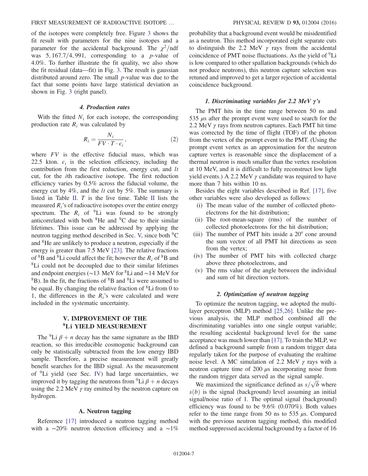# FIRST MEASUREMENT OF RADIOACTIVE ISOTOPE ... PHYSICAL REVIEW D 93, 012004 (2016)

of the isotopes were completely free. Figure [3](#page-5-1) shows the fit result with parameters for the nine isotopes and a parameter for the accidental background. The  $\chi^2$ /ndf was  $5, 167.7/4, 991$ , corresponding to a *p*-value of 4.0%. To further illustrate the fit quality, we also show the fit residual (data—fit) in Fig. [3](#page-5-1). The result is gaussian distributed around zero. The small p-value was due to the fact that some points have large statistical deviation as shown in Fig. [3](#page-5-1) (right panel).

#### 4. Production rates

With the fitted  $N_i$  for each isotope, the corresponding production rate  $R_i$  was calculated by

$$
R_i = \frac{N_i}{FV \cdot T \cdot \epsilon_i},\tag{2}
$$

where  $FV$  is the effective fiducial mass, which was 22.5 kton.  $\epsilon_i$  is the selection efficiency, including the contribution from the first reduction, energy cut, and *lt* cut, for the ith radioactive isotope. The first reduction efficiency varies by 0.5% across the fiducial volume, the energy cut by  $4\%$ , and the *lt* cut by  $5\%$ . The summary is listed in Table [II](#page-5-0).  $T$  is the live time. Table II lists the measured  $R_i$ 's of radioactive isotopes over the entire energy spectrum. The  $R_i$  of <sup>9</sup>Li was found to be strongly anticorrelated with both  ${}^{8}$ He and  ${}^{9}$ C due to their similar lifetimes. This issue can be addressed by applying the neutron tagging method described in Sec. [V,](#page-6-0) since both  ${}^{9}C$ and <sup>8</sup>He are unlikely to produce a neutron, especially if the energy is greater than 7.5 MeV [\[23\].](#page-11-12) The relative fractions of  ${}^{8}B$  and  ${}^{8}Li$  could affect the fit; however the  $R_i$  of  ${}^{8}B$  and <sup>8</sup>Li could not be decoupled due to their similar lifetimes and endpoint energies (∼13 MeV for <sup>8</sup>Li and ∼14 MeV for  ${}^{8}B$ ). In the fit, the fractions of  ${}^{8}B$  and  ${}^{8}Li$  were assumed to be equal. By changing the relative fraction of  ${}^{8}Li$  from 0 to 1, the differences in the  $R_i$ 's were calculated and were included in the systematic uncertainty.

# V. IMPROVEMENT OF THE <sup>9</sup>Li YIELD MEASUREMENT

<span id="page-6-0"></span>The <sup>9</sup>Li  $\beta$  + *n* decay has the same signature as the IBD reaction, so this irreducible cosmogenic background can only be statistically subtracted from the low energy IBD sample. Therefore, a precise measurement will greatly benefit searches for the IBD signal. As the measurement of <sup>9</sup>Li yield (see Sec. [IV\)](#page-3-0) had large uncertainties, we improved it by tagging the neutrons from <sup>9</sup>Li  $\beta + n$  decays using the 2.2 MeV  $\gamma$  ray emitted by the neutron capture on hydrogen.

### A. Neutron tagging

<span id="page-6-1"></span>Reference [\[17\]](#page-11-5) introduced a neutron tagging method with a ∼20% neutron detection efficiency and a ∼1% probability that a background event would be misidentified as a neutron. This method incorporated eight separate cuts to distinguish the 2.2 MeV  $\gamma$  rays from the accidental coincidence of PMT noise fluctuations. As the yield of <sup>9</sup>Li is low compared to other spallation backgrounds (which do not produce neutrons), this neutron capture selection was retuned and improved to get a larger rejection of accidental coincidence background.

# 1. Discriminating variables for 2.2 MeV  $\gamma$ 's

The PMT hits in the time range between 50 ns and 535  $\mu$ s after the prompt event were used to search for the 2.2 MeV  $\gamma$  rays from neutron captures. Each PMT hit time was corrected by the time of flight (TOF) of the photon from the vertex of the prompt event to the PMT. (Using the prompt event vertex as an approximation for the neutron capture vertex is reasonable since the displacement of a thermal neutron is much smaller than the vertex resolution at 10 MeV, and it is difficult to fully reconstruct low light yield events.) A 2.2 MeV  $\gamma$  candidate was required to have more than 7 hits within 10 ns.

Besides the eight variables described in Ref. [\[17\],](#page-11-5) five other variables were also developed as follows:

- (i) The mean value of the number of collected photoelectrons for the hit distribution;
- (ii) The root-mean-square (rms) of the number of collected photoelectrons for the hit distribution;
- (iii) The number of PMT hits inside a 20° cone around the sum vector of all PMT hit directions as seen from the vertex;
- (iv) The number of PMT hits with collected charge above three photoelectrons, and
- (v) The rms value of the angle between the individual and sum of hit direction vectors.

# 2. Optimization of neutron tagging

To optimize the neutron tagging, we adopted the multilayer perceptron (MLP) method [\[25,26\].](#page-11-13) Unlike the previous analysis, the MLP method combined all the discriminating variables into one single output variable; the resulting accidental background level for the same acceptance was much lower than [\[17\]](#page-11-5). To train the MLP, we defined a background sample from a random trigger data regularly taken for the purpose of evaluating the realtime noise level. A MC simulation of 2.2 MeV  $\gamma$  rays with a neutron capture time of 200  $\mu$ s incorporating noise from the random trigger data served as the signal sample.

We maximized the significance defined as  $s/\sqrt{b}$  where  $s(b)$  is the signal (background) level assuming an initial signal/noise ratio of 1. The optimal signal (background) efficiency was found to be 9.6% (0.070%). Both values refer to the time range from 50 ns to 535  $\mu$ s. Compared with the previous neutron tagging method, this modified method suppressed accidental background by a factor of 16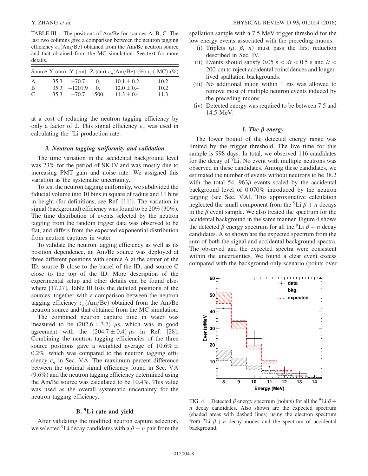<span id="page-7-0"></span>TABLE III. The positions of Am/Be for sources A, B, C. The last two columns give a comparison between the neutron tagging efficiency  $\epsilon_n$ (Am/Be) obtained from the Am/Be neutron source and that obtained from the MC simulation. See text for more details.

|   |                      |                  | Source X (cm) Y (cm) Z (cm) $\epsilon_n(\text{Am}/\text{Be})$ (%) $\epsilon_n(\text{MC})$ (%) |      |
|---|----------------------|------------------|-----------------------------------------------------------------------------------------------|------|
| A | $35.3 -70.7$         | $\bigcup$        | $10.1 \pm 0.2$                                                                                | 10.2 |
| B | $35.3 -1201.9$       | $\left( \right)$ | $12.0 \pm 0.4$                                                                                | 10.2 |
| C | $35.3$ $-70.7$ 1500. |                  | $11.3 + 0.4$                                                                                  | 11.3 |

at a cost of reducing the neutron tagging efficiency by only a factor of 2. This signal efficiency  $\epsilon_n$  was used in calculating the <sup>9</sup>Li production rate.

#### 3. Neutron tagging uniformity and validation

The time variation in the accidental background level was 23% for the period of SK-IV and was mostly due to increasing PMT gain and noise rate. We assigned this variation as the systematic uncertainty.

To test the neutron tagging uniformity, we subdivided the fiducial volume into 10 bins in square of radius and 11 bins in height (for definitions, see Ref. [\[11\]](#page-11-8)). The variation in signal (background) efficiency was found to be 20% (30%). The time distribution of events selected by the neutron tagging from the random trigger data was observed to be flat, and differs from the expected exponential distribution from neutron captures in water.

To validate the neutron tagging efficiency as well as its position dependence, an Am/Be source was deployed at three different positions with source A at the center of the ID, source B close to the barrel of the ID, and source C close to the top of the ID. More description of the experimental setup and other details can be found elsewhere [\[17,27\]](#page-11-5). Table [III](#page-7-0) lists the detailed positions of the sources, together with a comparison between the neutron tagging efficiency  $\epsilon_n$ (Am/Be) obtained from the Am/Be neutron source and that obtained from the MC simulation.

The combined neutron capture time in water was measured to be  $(202.6 \pm 3.7)$   $\mu$ s, which was in good agreement with the  $(204.7 \pm 0.4) \mu s$  in Ref. [\[28\]](#page-11-14). Combining the neutron tagging efficiencies of the three source positions gave a weighted average of  $10.6\% \pm$ 0.2%, which was compared to the neutron tagging efficiency  $\epsilon_n$  in Sec. [VA.](#page-6-1) The maximum percent difference between the optimal signal efficiency found in Sec. [VA](#page-6-1) (9.6%) and the neutron tagging efficiency determined using the Am/Be source was calculated to be 10.4%. This value was used as the overall systematic uncertainty for the neutron tagging efficiency.

# B. <sup>9</sup>Li rate and yield

<span id="page-7-2"></span>After validating the modified neutron capture selection, we selected <sup>9</sup>Li decay candidates with a  $\beta + n$  pair from the spallation sample with a 7.5 MeV trigger threshold for the low-energy events associated with the preceding muons:

- (i) Triplets  $(\mu, \beta, n)$  must pass the first reduction described in Sec. [IV.](#page-3-0)
- (ii) Events should satisfy 0.05 s  $< dt < 0.5$  s and  $lt <$ 200 cm to reject accidental coincidences and longerlived spallation backgrounds.
- (iii) No additional muon within 1 ms was allowed to remove most of multiple neutron events induced by the preceding muons.
- (iv) Detected energy was required to be between 7.5 and 14.5 MeV.

# 1. The  $\beta$  energy

The lower bound of the detected energy range was limited by the trigger threshold. The live time for this sample is 998 days. In total, we observed 116 candidates for the decay of <sup>9</sup>Li. No event with multiple neutrons was observed in these candidates. Among these candidates, we estimated the number of events without neutrons to be 38.2 with the total 54,  $963\beta$  events scaled by the accidental background level of 0.070% introduced by the neutron tagging (see Sec. [VA](#page-6-1)). This approximative calculation neglected the small component from the <sup>9</sup>Li  $\beta + n$  decays in the  $\beta$  event sample. We also treated the spectrum for the accidental background in the same manner. Figure [4](#page-7-1) shows the detected  $\beta$  energy spectrum for all the <sup>9</sup>Li  $\beta + n$  decay candidates. Also shown are the expected spectrum from the sum of both the signal and accidental background spectra. The observed and the expected spectra were consistent within the uncertainties. We found a clear event excess compared with the background-only scenario (points over

<span id="page-7-1"></span>

FIG. 4. Detected  $\beta$  energy spectrum (points) for all the <sup>9</sup>Li  $\beta$  + n decay candidates. Also shown are the expected spectrum (shaded areas with dashed lines) using the electron spectrum from <sup>9</sup>Li  $\beta + n$  decay modes and the spectrum of accidental background.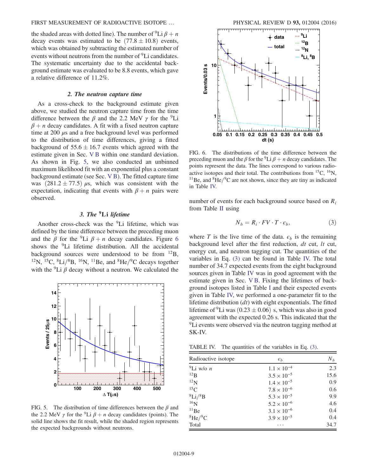#### FIRST MEASUREMENT OF RADIOACTIVE ISOTOPE … PHYSICAL REVIEW D 93, 012004 (2016)

the shaded areas with dotted line). The number of <sup>9</sup>Li  $\beta + n$ decay events was estimated to be  $(77.8 \pm 10.8)$  events, which was obtained by subtracting the estimated number of events without neutrons from the number of <sup>9</sup>Li candidates. The systematic uncertainty due to the accidental background estimate was evaluated to be 8.8 events, which gave a relative difference of 11.2%.

#### 2. The neutron capture time

As a cross-check to the background estimate given above, we studied the neutron capture time from the time difference between the  $\beta$  and the 2.2 MeV  $\gamma$  for the <sup>9</sup>Li  $\beta + n$  decay candidates. A fit with a fixed neutron capture time at 200  $\mu$ s and a free background level was performed to the distribution of time differences, giving a fitted background of  $55.6 \pm 16.7$  events which agreed with the estimate given in Sec. [V B](#page-7-2) within one standard deviation. As shown in Fig. [5](#page-8-0), we also conducted an unbinned maximum likelihood fit with an exponential plus a constant background estimate (see Sec. [V B](#page-7-2)). The fitted capture time was  $(281.2 \pm 77.5) \mu s$ , which was consistent with the expectation, indicating that events with  $\beta + n$  pairs were observed.

# 3. The <sup>9</sup>Li lifetime

Another cross-check was the <sup>9</sup>Li lifetime, which was defined by the time difference between the preceding muon and the  $\beta$  for the <sup>9</sup>Li  $\beta + n$  decay candidates. Figure [6](#page-8-1) shows the <sup>9</sup>Li lifetime distribution. All the accidental background sources were understood to be from <sup>12</sup>B, <sup>12</sup>N, <sup>15</sup>C, <sup>8</sup>Li/<sup>8</sup>B, <sup>16</sup>N, <sup>11</sup>Be, and <sup>8</sup>He/<sup>9</sup>C decays together with the  ${}^{9}Li \beta$  decay without a neutron. We calculated the

<span id="page-8-0"></span>

FIG. 5. The distribution of time differences between the  $\beta$  and the 2.2 MeV  $\gamma$  for the <sup>9</sup>Li  $\beta + n$  decay candidates (points). The solid line shows the fit result, while the shaded region represents the expected backgrounds without neutrons.

<span id="page-8-1"></span>

FIG. 6. The distributions of the time difference between the preceding muon and the  $\beta$  for the <sup>9</sup>Li  $\beta + n$  decay candidates. The points represent the data. The lines correspond to various radioactive isotopes and their total. The contributions from  ${}^{15}C$ ,  ${}^{16}N$ , <sup>11</sup>Be, and <sup>8</sup>He/<sup>9</sup>C are not shown, since they are tiny as indicated in Table [IV.](#page-8-3)

<span id="page-8-2"></span>number of events for each background source based on  $R_i$ from Table [II](#page-5-0) using

$$
N_b = R_i \cdot FV \cdot T \cdot \epsilon_b,\tag{3}
$$

where T is the live time of the data.  $\epsilon_b$  is the remaining background level after the first reduction, dt cut, lt cut, energy cut, and neutron tagging cut. The quantities of the variables in Eq. [\(3\)](#page-8-2) can be found in Table [IV.](#page-8-3) The total number of 34.7 expected events from the eight background sources given in Table [IV](#page-8-3) was in good agreement with the estimate given in Sec. [V B](#page-7-2). Fixing the lifetimes of background isotopes listed in Table [I](#page-3-1) and their expected events given in Table [IV,](#page-8-3) we performed a one-parameter fit to the lifetime distribution  $(dt)$  with eight exponentials. The fitted lifetime of <sup>9</sup>Li was  $(0.23 \pm 0.06)$  s, which was also in good agreement with the expected 0.26 s. This indicated that the <sup>9</sup>Li events were observed via the neutron tagging method at SK-IV.

<span id="page-8-3"></span>TABLE IV. The quantities of the variables in Eq. [\(3\)](#page-8-2).

| Radioactive isotope         | $\epsilon_b$         | $N_b$ |
|-----------------------------|----------------------|-------|
| $^{9}$ Li w/o n             | $1.1 \times 10^{-4}$ | 2.3   |
| $^{12}$ <sub>B</sub>        | $3.5 \times 10^{-5}$ | 15.6  |
| 12 <sub>N</sub>             | $1.4 \times 10^{-5}$ | 0.9   |
| ${}^{15}C$                  | $7.8 \times 10^{-6}$ | 0.6   |
| ${}^{8}$ Li/ ${}^{8}$ B     | $5.3 \times 10^{-5}$ | 9.9   |
| 16 <sub>N</sub>             | $5.2 \times 10^{-6}$ | 4.6   |
| ${}^{11}Be$                 | $3.1 \times 10^{-6}$ | 0.4   |
| ${}^{8}$ He/ <sup>9</sup> C | $3.9 \times 10^{-5}$ | 0.4   |
| Total                       | .                    | 34.7  |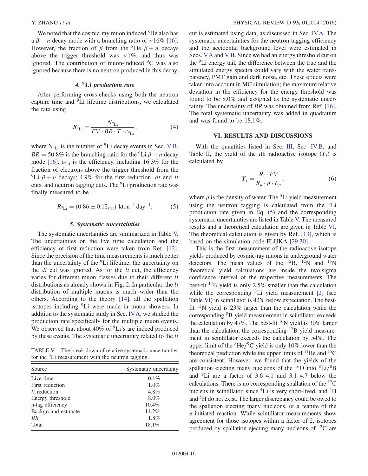We noted that the cosmic-ray muon induced <sup>8</sup>He also has a  $\beta$  + n decay mode with a branching ratio of ~16% [\[16\]](#page-11-4). However, the fraction of  $\beta$  from the <sup>8</sup>He  $\beta + n$  decays above the trigger threshold was  $\langle 1\% \rangle$ , and thus was ignored. The contribution of muon-induced  ${}^{9}C$  was also ignored because there is no neutron produced in this decay.

# 4. <sup>9</sup>Li production rate

After performing cross-checks using both the neutron capture time and <sup>9</sup>Li lifetime distributions, we calculated the rate using

$$
R_{\rm^9Li} = \frac{N_{\rm^9Li}}{FV \cdot BR \cdot T \cdot \epsilon_{\rm^9Li}},\tag{4}
$$

where  $N_{\text{9Li}}$  is the number of  $\text{9Li}$  decay events in Sec. [V B](#page-7-2),  $BR = 50.8\%$  is the branching ratio for the <sup>9</sup>Li  $\beta + n$  decay mode [\[16\]](#page-11-4).  $\epsilon_{\text{9Li}}$  is the efficiency, including 16.3% for the fraction of electrons above the trigger threshold from the <sup>9</sup>Li  $\beta + n$  decays; 4.9% for the first reduction, dt and lt cuts, and neutron tagging cuts. The <sup>9</sup>Li production rate was finally measured to be

<span id="page-9-2"></span>
$$
R_{\rm^9Li} = (0.86 \pm 0.12_{\rm stat}) \text{ kton}^{-1} \text{ day}^{-1}. \tag{5}
$$

### 5. Systematic uncertainties

The systematic uncertainties are summarized in Table [V.](#page-9-1) The uncertainties on the live time calculation and the efficiency of first reduction were taken from Ref. [\[12\]](#page-11-15). Since the precision of the time measurements is much better than the uncertainty of the  ${}^{9}Li$  lifetime, the uncertainty on the  $dt$  cut was ignored. As for the  $lt$  cut, the efficiency varies for different muon classes due to their different lt distributions as already shown in Fig. [2.](#page-4-0) In particular, the *lt* distribution of multiple muons is much wider than the others. According to the theory [\[14\]](#page-11-16), all the spallation isotopes including <sup>9</sup>Li were made in muon showers. In addition to the systematic study in Sec. [IVA](#page-3-2), we studied the production rate specifically for the multiple muon events. We observed that about  $40\%$  of  $^9Li$ 's are indeed produced by these events. The systematic uncertainty related to the *lt* 

<span id="page-9-1"></span>TABLE V. The break down of relative systematic uncertainties for the <sup>9</sup>Li measurement with the neutron tagging.

| Source              | Systematic uncertainty |
|---------------------|------------------------|
| Live time           | $0.1\%$                |
| First reduction     | $1.0\%$                |
| <i>lt</i> reduction | 4.8%                   |
| Energy threshold    | $8.0\%$                |
| n-tag efficiency    | 10.4%                  |
| Background estimate | 11.2%                  |
| <b>BR</b>           | $1.8\%$                |
| Total               | 18.1%                  |

cut is estimated using data, as discussed in Sec. [IVA](#page-3-2). The systematic uncertainties for the neutron tagging efficiency and the accidental background level were estimated in Secs. [VA](#page-6-1) and [V B.](#page-7-2) Since we had an energy threshold cut on the <sup>9</sup>Li energy tail, the difference between the true and the simulated energy spectra could vary with the water transparency, PMT gain and dark noise, etc. These effects were taken into account in MC simulation; the maximum relative deviation in the efficiency for the energy threshold was found to be 8.0% and assigned as the systematic uncertainty. The uncertainty of BR was obtained from Ref. [\[16\]](#page-11-4). The total systematic uncertainty was added in quadrature and was found to be 18.1%.

# VI. RESULTS AND DISCUSSIONS

<span id="page-9-0"></span>With the quantities listed in Sec. [III](#page-2-1), Sec. [IV B](#page-4-1), and Table [II](#page-5-0), the yield of the *i*th radioactive isotope  $(Y_i)$  is calculated by

$$
Y_i = \frac{R_i \cdot FV}{R_\mu \cdot \rho \cdot L_\mu},\tag{6}
$$

where  $\rho$  is the density of water. The <sup>9</sup>Li yield measurement using the neutron tagging is calculated from the <sup>9</sup>Li production rate given in Eq. [\(5\)](#page-9-2) and the corresponding systematic uncertainties are listed in Table [V.](#page-9-1) The measured results and a theoretical calculation are given in Table [VI](#page-10-1). The theoretical calculation is given by Ref. [\[13\]](#page-11-3), which is based on the simulation code FLUKA [\[29,30\]](#page-11-17).

This is the first measurement of the radioactive isotope yields produced by cosmic-ray muons in underground water detectors. The mean values of the  $^{12}B$ ,  $^{12}N$  and  $^{16}N$ theoretical yield calculations are inside the two-sigma confidence interval of the respective measurements. The best-fit <sup>12</sup>B yield is only 2.5% smaller than the calculation while the corresponding <sup>8</sup>Li yield measurement [\[2\]](#page-11-18) (see Table [VI\)](#page-10-1) in scintillator is 42% below expectation. The bestfit  $12N$  yield is 23% larger than the calculation while the corresponding <sup>8</sup>B yield measurement in scintillator exceeds the calculation by 47%. The best-fit  $^{16}N$  yield is 30% larger than the calculation, the corresponding  $12B$  yield measurement in scintillator exceeds the calculation by 54%. The upper limit of the  ${}^{8}$ He/ ${}^{9}$ C yield is only 10% lower than the theoretical prediction while the upper limits of  $^{11}$ Be and  $^{15}$ C are consistent. However, we found that the yields of the spallation ejecting many nucleons of the  ${}^{16}O$  into  ${}^{8}Li/{}^{8}B$ and <sup>9</sup>Li are a factor of 3.6–4.1 and 3.1–4.7 below the calculations. There is no corresponding spallation of the  ${}^{12}C$ nucleus in scintillator, since  ${}^{4}$ Li is very short-lived, and  ${}^{4}$ H and <sup>5</sup>H do not exist. The larger discrepancy could be owed to the spallation ejecting many nucleons, or a feature of the  $\pi$ -initiated reaction. While scintillator measurements show agreement for those isotopes within a factor of 2, isotopes produced by spallation ejecting many nucleons of  ${}^{12}C$  are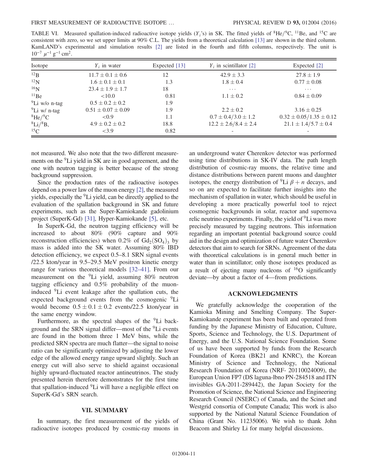<span id="page-10-1"></span>TABLE VI. Measured spallation-induced radioactive isotope yields  $(Y_i$ 's) in SK. The fitted yields of  ${}^{8}He/{}^{9}C$ ,  ${}^{11}Be$ , and  ${}^{15}C$  are consistent with zero, so we set upper limits at 90% C.L. The yields from a theoretical calculation [\[13\]](#page-11-3) are shown in the third column. KamLAND's experimental and simulation results [\[2\]](#page-11-18) are listed in the fourth and fifth columns, respectively. The unit is  $10^{-7}$   $\mu^{-1}$  g<sup>-1</sup> cm<sup>2</sup>.

| Isotope                   | $Y_i$ in water           | Expected [13] | $Y_i$ in scintillator [2]  | Expected [2]                  |
|---------------------------|--------------------------|---------------|----------------------------|-------------------------------|
| $^{12}B$                  | $11.7 \pm 0.1 \pm 0.6$   | 12            | $42.9 \pm 3.3$             | $27.8 \pm 1.9$                |
| $^{12}N$                  | $1.6 \pm 0.1 \pm 0.1$    | 1.3           | $1.8 \pm 0.4$              | $0.77 \pm 0.08$               |
| 16 <sub>N</sub>           | $23.4 \pm 1.9 \pm 1.7$   | 18            | $\cdot$ $\cdot$ $\cdot$    | $\cdot$ $\cdot$ $\cdot$       |
| ${}^{11}Be$               | ${<}10.0$                | 0.81          | $1.1 \pm 0.2$              | $0.84 \pm 0.09$               |
| <sup>9</sup> Li w/o n-tag | $0.5 \pm 0.2 \pm 0.2$    | 1.9           |                            |                               |
| $^{9}$ Li w/ n-tag        | $0.51 \pm 0.07 \pm 0.09$ | 1.9           | $2.2 \pm 0.2$              | $3.16 \pm 0.25$               |
| ${}^{8}$ He/ ${}^{9}$ C   | < 0.9                    | 1.1           | $0.7 \pm 0.4/3.0 \pm 1.2$  | $0.32 \pm 0.05/1.35 \pm 0.12$ |
| ${}^{8}Li/{}^{8}B,$       | $4.9 \pm 0.2 \pm 0.2$    | 18.8          | $12.2 \pm 2.6/8.4 \pm 2.4$ | $21.1 \pm 1.4/5.7 \pm 0.4$    |
| ${}^{15}C$                | < 3.9                    | 0.82          |                            |                               |

not measured. We also note that the two different measurements on the <sup>9</sup>Li yield in SK are in good agreement, and the one with neutron tagging is better because of the strong background suppression.

Since the production rates of the radioactive isotopes depend on a power law of the muon energy [\[2\],](#page-11-18) the measured yields, especially the <sup>9</sup>Li yield, can be directly applied to the evaluation of the spallation background in SK and future experiments, such as the Super-Kamiokande gadolinium project (SuperK-Gd) [\[31\],](#page-11-19) Hyper-Kamiokande [\[5\],](#page-11-20) etc.

In SuperK-Gd, the neutron tagging efficiency will be increased to about 80% (90% capture and 90% reconstruction efficiencies) when 0.2% of  $Gd_2(SO_4)$ <sub>3</sub> by mass is added into the SK water. Assuming 80% IBD detection efficiency, we expect 0.5–8.1 SRN signal events /22.5 kton/year in 9.5–29.5 MeV positron kinetic energy range for various theoretical models [\[32](#page-11-21)–41]. From our measurement on the <sup>9</sup>Li yield, assuming 80% neutron tagging efficiency and 0.5% probability of the muoninduced <sup>9</sup>Li event leakage after the spallation cuts, the expected background events from the cosmogenic <sup>9</sup>Li would become  $0.5 \pm 0.1 \pm 0.2$  events/22.5 kton/year in the same energy window.

Furthermore, as the spectral shapes of the <sup>9</sup>Li background and the SRN signal differ—most of the <sup>9</sup>Li events are found in the bottom three 1 MeV bins, while the predicted SRN spectra are much flatter—the signal to noise ratio can be significantly optimized by adjusting the lower edge of the allowed energy range upward slightly. Such an energy cut will also serve to shield against occasional highly upward-fluctuated reactor antineutrinos. The study presented herein therefore demonstrates for the first time that spallation-induced  ${}^{9}$ Li will have a negligible effect on SuperK-Gd's SRN search.

# VII. SUMMARY

<span id="page-10-0"></span>In summary, the first measurement of the yields of radioactive isotopes produced by cosmic-ray muons in

an underground water Cherenkov detector was performed using time distributions in SK-IV data. The path length distribution of cosmic-ray muons, the relative time and distance distributions between parent muons and daughter isotopes, the energy distribution of <sup>9</sup>Li  $\beta + n$  decays, and so on are expected to facilitate further insights into the mechanism of spallation in water, which should be useful in developing a more practically powerful tool to reject cosmogenic backgrounds in solar, reactor and supernova relic neutrino experiments. Finally, the yield of <sup>9</sup>Li was more precisely measured by tagging neutrons. This information regarding an important potential background source could aid in the design and optimization of future water Cherenkov detectors that aim to search for SRNs. Agreement of the data with theoretical calculations is in general much better in water than in scintillator; only those isotopes produced as a result of ejecting many nucleons of  $^{16}O$  significantly deviate—by about a factor of 4—from predictions.

### ACKNOWLEDGMENTS

We gratefully acknowledge the cooperation of the Kamioka Mining and Smelting Company. The Super-Kamiokande experiment has been built and operated from funding by the Japanese Ministry of Education, Culture, Sports, Science and Technology, the U.S. Department of Energy, and the U.S. National Science Foundation. Some of us have been supported by funds from the Research Foundation of Korea (BK21 and KNRC), the Korean Ministry of Science and Technology, the National Research Foundation of Korea (NRF- 20110024009), the European Union FP7 (DS laguna-lbno PN-284518 and ITN invisibles GA-2011-289442), the Japan Society for the Promotion of Science, the National Science and Engineering Research Council (NSERC) of Canada, and the Scinet and Westgrid consortia of Compute Canada; This work is also supported by the National Natural Science Foundation of China (Grant No. 11235006). We wish to thank John Beacom and Shirley Li for many helpful discussions.